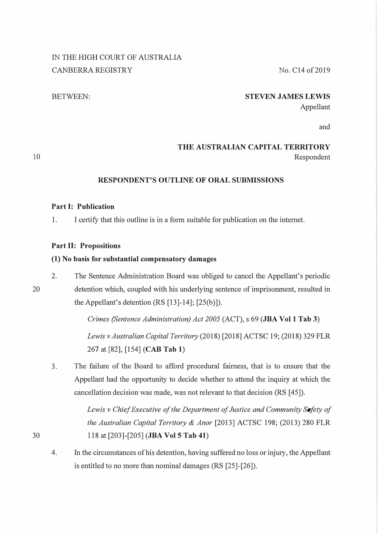# IN THE HIGH COURT OF AUSTRALIA CANBERRA REGISTRY No. C14 of 2019

#### BETWEEN: **STEVEN JAMES LEWIS**

Appellant

and

## **THE AUSTRALIAN CAPITAL TERRITORY**  Respondent

### **RESPONDENT'S OUTLINE OF ORAL SUBMISSIONS**

### **Part I: Publication**

1. I certify that this outline is in a form suitable for publication on the internet.

#### **Part II: Propositions**

#### **(1) No basis for substantial compensatory damages**

2. The Sentence Administration Board was obliged to cancel the Appellant's periodic detention which, coupled with his underlying sentence of imprisonment, resulted in the Appellant's detention (RS [13]-14]; [25(b)]).

*Crimes (Sentence Administration) Act 2005* (ACT), s 69 **(JBA Vol 1 Tab 3)** 

*Lewis v Australian Capital Territory* (2018) [2018] ACTSC 19; (2018) 329 FLR 267 at [82], [154] **(CAB Tab 1)** 

3. The failure of the Board to afford procedural fairness, that is to ensure that the Appellant had the opportunity to decide whether to attend the inquiry at which the cancellation decision was made, was not relevant to that decision (RS [ 45]).

> *Lewis v Chief Executive of the Department of Justice and Community Safety of the Australian Capital Territory & Anor* [2013] ACTSC 198; (2013) 280 FLR 118 at [203]-[205] **(JBA Vol 5 Tab 41)**

4. In the circumstances of his detention, having suffered no loss or injury, the Appellant is entitled to no more than nominal damages (RS [25]-[26]).

20

30

10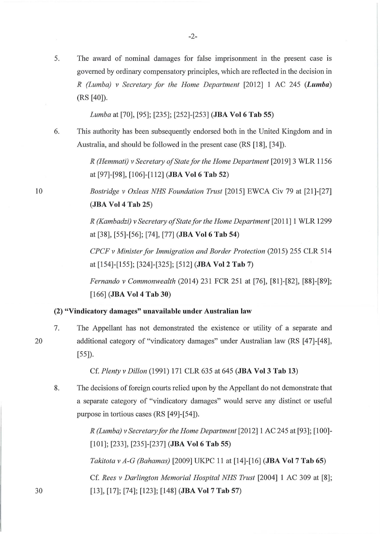5. The award of nominal damages for false imprisonment in the present case is governed by ordinary compensatory principles, which are reflected in the decision in *R (Lumba) v Secretary for the Home Department* [2012] 1 AC 245 *(Lumba)*  (RS [40]).

*Lumba* at [70], [95]; [235]; [252]-[253] **(JBA Vol 6 Tab 55)** 

6. This authority has been subsequently endorsed both in the United Kingdom and in Australia, and should be followed in the present case (RS [18], [34]).

> *R (Hemmati) v Secretary of State for the Home Department* [2019] 3 WLR 1156 at [97]-[98], [106]-[112] **(JBA Vol 6 Tab 52)**

> *Eastridge v Oxleas NHS Foundation Trust* [2015] EWCA Civ 79 at [21]-[27] **(JBA Vol 4 Tab 25)**

> *R (Kambadzi) v Secretary of State for the Home Department* [2011] 1 WLR 1299 at [38], [55]-[56]; [74], [77] **(JBA Vol 6 Tab 54)**

> *CPCF v Minister for Immigration and Border Protection* (2015) 255 CLR 514 at [154]-[155]; [324]-[325]; [512] **(JBA Vol 2 Tab 7)**

> *Fernando v Commonwealth* (2014) 231 FCR 251 at [76], [81]-[82], [88]-[89]; [166] **(JBA Vol 4 Tab 30)**

#### **(2) "Vindicatory damages" unavailable under Australian law**

7. The Appellant has not demonstrated the existence or utility of a separate and additional category of "vindicatory damages" under Australian law (RS [47]-[48], [55]).

Cf. *Plenty v Dillon* (1991) 171 CLR 635 at 645 **(JBA Vol 3 Tab 13)** 

8. The decisions of foreign courts relied upon by the Appellant do not demonstrate that a separate category of "vindicatory damages" would serve any distinct or useful purpose in tortious cases (RS [49]-[54]).

> *R (Lumba) v Secretary for the Home Department* [2012] 1 AC 245 at [93]; [100]- [101]; [233], [235]-[237] **(JBA Vol 6 Tab 55)**

*Takitota v A-G (Bahamas)* [2009] UKPC 11 at [14]-[16] **(JBA Vol 7 Tab 65)** 

Cf. *Rees v Darlington Memorial Hospital NHS Trust* [2004] 1 AC 309 at [8]; [13], [17]; [74]; [123]; [148] **(JBA Vol 7 Tab 57)** 

10

30